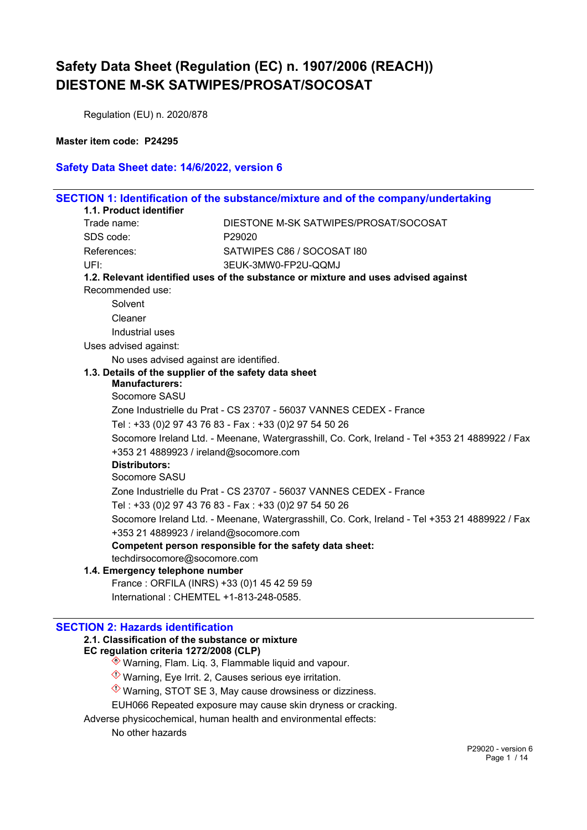Regulation (EU) n. 2020/878

#### **Master item code: P24295**

### **Safety Data Sheet date: 14/6/2022, version 6**

|  | 1.1. Product identifier                                                                                                                                                                                                   | SECTION 1: Identification of the substance/mixture and of the company/undertaking              |  |
|--|---------------------------------------------------------------------------------------------------------------------------------------------------------------------------------------------------------------------------|------------------------------------------------------------------------------------------------|--|
|  | Trade name:                                                                                                                                                                                                               | DIESTONE M-SK SATWIPES/PROSAT/SOCOSAT                                                          |  |
|  | SDS code:                                                                                                                                                                                                                 | P29020                                                                                         |  |
|  | References:                                                                                                                                                                                                               | SATWIPES C86 / SOCOSAT 180                                                                     |  |
|  | UFI:                                                                                                                                                                                                                      | 3EUK-3MW0-FP2U-QQMJ                                                                            |  |
|  |                                                                                                                                                                                                                           | 1.2. Relevant identified uses of the substance or mixture and uses advised against             |  |
|  | Recommended use:                                                                                                                                                                                                          |                                                                                                |  |
|  | Solvent                                                                                                                                                                                                                   |                                                                                                |  |
|  | Cleaner                                                                                                                                                                                                                   |                                                                                                |  |
|  | Industrial uses                                                                                                                                                                                                           |                                                                                                |  |
|  | Uses advised against:                                                                                                                                                                                                     |                                                                                                |  |
|  | No uses advised against are identified.                                                                                                                                                                                   |                                                                                                |  |
|  | 1.3. Details of the supplier of the safety data sheet<br><b>Manufacturers:</b><br>Socomore SASU                                                                                                                           |                                                                                                |  |
|  |                                                                                                                                                                                                                           | Zone Industrielle du Prat - CS 23707 - 56037 VANNES CEDEX - France                             |  |
|  |                                                                                                                                                                                                                           |                                                                                                |  |
|  | Tel: +33 (0)2 97 43 76 83 - Fax: +33 (0)2 97 54 50 26<br>Socomore Ireland Ltd. - Meenane, Watergrasshill, Co. Cork, Ireland - Tel +353 21 4889922 / Fax<br>+353 21 4889923 / ireland@socomore.com<br><b>Distributors:</b> |                                                                                                |  |
|  | Socomore SASU<br>Zone Industrielle du Prat - CS 23707 - 56037 VANNES CEDEX - France<br>Tel: +33 (0)2 97 43 76 83 - Fax: +33 (0)2 97 54 50 26                                                                              |                                                                                                |  |
|  |                                                                                                                                                                                                                           |                                                                                                |  |
|  |                                                                                                                                                                                                                           | Socomore Ireland Ltd. - Meenane, Watergrasshill, Co. Cork, Ireland - Tel +353 21 4889922 / Fax |  |
|  |                                                                                                                                                                                                                           |                                                                                                |  |
|  | +353 21 4889923 / ireland@socomore.com                                                                                                                                                                                    | Competent person responsible for the safety data sheet:                                        |  |
|  | techdirsocomore@socomore.com                                                                                                                                                                                              |                                                                                                |  |
|  | 1.4. Emergency telephone number                                                                                                                                                                                           |                                                                                                |  |
|  | France: ORFILA (INRS) +33 (0)1 45 42 59 59                                                                                                                                                                                |                                                                                                |  |
|  | International: CHEMTEL +1-813-248-0585.                                                                                                                                                                                   |                                                                                                |  |

#### **SECTION 2: Hazards identification**

#### **2.1. Classification of the substance or mixture EC regulation criteria 1272/2008 (CLP)**

- $\hat{\textcircled{\ensuremath{\ast}}}$  Warning, Flam. Liq. 3, Flammable liquid and vapour.
- $\Diamond$  Warning, Eye Irrit. 2, Causes serious eye irritation.
- $\Diamond$  Warning, STOT SE 3, May cause drowsiness or dizziness.
- EUH066 Repeated exposure may cause skin dryness or cracking.
- Adverse physicochemical, human health and environmental effects:

No other hazards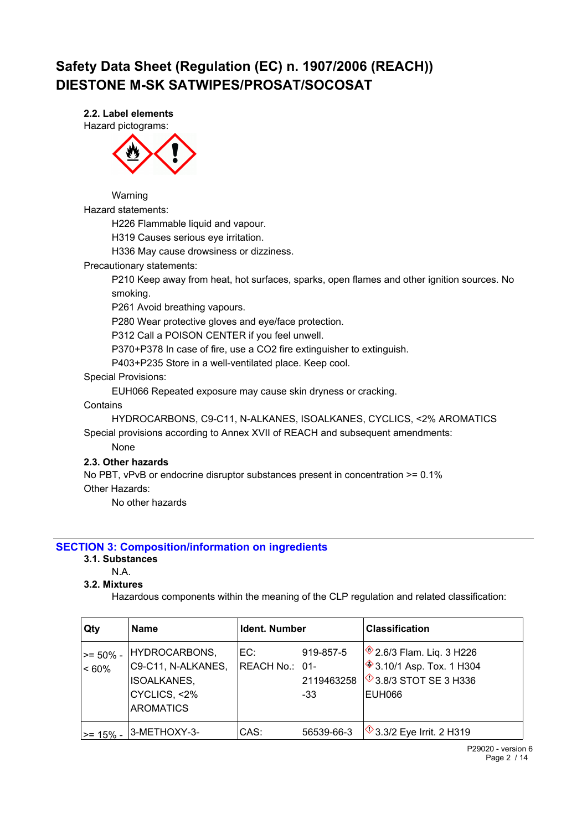**2.2. Label elements**

Hazard pictograms:



Warning

Hazard statements:

H226 Flammable liquid and vapour.

H319 Causes serious eye irritation.

H336 May cause drowsiness or dizziness.

Precautionary statements:

P210 Keep away from heat, hot surfaces, sparks, open flames and other ignition sources. No smoking.

P261 Avoid breathing vapours.

P280 Wear protective gloves and eye/face protection.

P312 Call a POISON CENTER if you feel unwell.

P370+P378 In case of fire, use a CO2 fire extinguisher to extinguish.

P403+P235 Store in a well-ventilated place. Keep cool.

Special Provisions:

EUH066 Repeated exposure may cause skin dryness or cracking.

**Contains** 

HYDROCARBONS, C9-C11, N-ALKANES, ISOALKANES, CYCLICS, <2% AROMATICS Special provisions according to Annex XVII of REACH and subsequent amendments:

None

#### **2.3. Other hazards**

No PBT, vPvB or endocrine disruptor substances present in concentration >= 0.1% Other Hazards:

No other hazards

### **SECTION 3: Composition/information on ingredients**

#### **3.1. Substances**

N.A.

#### **3.2. Mixtures**

Hazardous components within the meaning of the CLP regulation and related classification:

| Qty                   | <b>Name</b>                                                                                   | Ident. Number         |                                | <b>Classification</b>                                                                                              |
|-----------------------|-----------------------------------------------------------------------------------------------|-----------------------|--------------------------------|--------------------------------------------------------------------------------------------------------------------|
| >= 50% -<br>$ $ < 60% | HYDROCARBONS,<br>C9-C11, N-ALKANES,<br><b>ISOALKANES,</b><br>CYCLICS, <2%<br><b>AROMATICS</b> | EC:<br>REACH No.: 01- | 919-857-5<br>2119463258<br>-33 | <sup>2</sup> 2.6/3 Flam. Liq. 3 H226<br><b>♦ 3.10/1 Asp. Tox. 1 H304</b><br>$\circ$ 3.8/3 STOT SE 3 H336<br>EUH066 |
| l>= 15% -             | 3-METHOXY-3-                                                                                  | CAS:                  | 56539-66-3                     | $\sqrt{$}3.3/2$ Eye Irrit. 2 H319                                                                                  |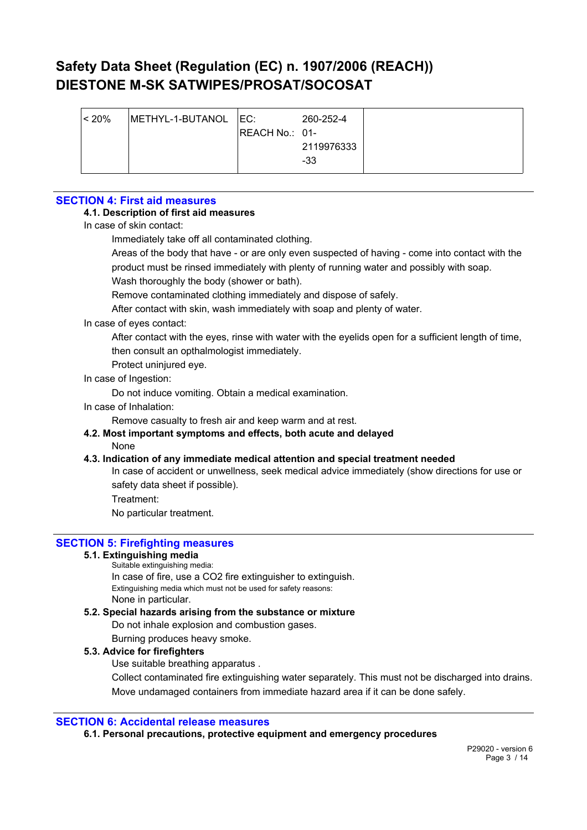| $ $ < 20% | METHYL-1-BUTANOL   EC: |                | 260-252-4  |  |
|-----------|------------------------|----------------|------------|--|
|           |                        | REACH No.: 01- |            |  |
|           |                        |                | 2119976333 |  |
|           |                        |                | -33        |  |
|           |                        |                |            |  |

### **SECTION 4: First aid measures**

#### **4.1. Description of first aid measures**

In case of skin contact:

Immediately take off all contaminated clothing.

Areas of the body that have - or are only even suspected of having - come into contact with the product must be rinsed immediately with plenty of running water and possibly with soap.

Wash thoroughly the body (shower or bath).

Remove contaminated clothing immediately and dispose of safely.

After contact with skin, wash immediately with soap and plenty of water.

#### In case of eyes contact:

After contact with the eyes, rinse with water with the eyelids open for a sufficient length of time, then consult an opthalmologist immediately.

Protect uninjured eye.

#### In case of Ingestion:

Do not induce vomiting. Obtain a medical examination.

In case of Inhalation:

Remove casualty to fresh air and keep warm and at rest.

### **4.2. Most important symptoms and effects, both acute and delayed**

#### None

#### **4.3. Indication of any immediate medical attention and special treatment needed**

In case of accident or unwellness, seek medical advice immediately (show directions for use or safety data sheet if possible).

Treatment:

No particular treatment.

#### **SECTION 5: Firefighting measures**

#### **5.1. Extinguishing media**

Suitable extinguishing media:

In case of fire, use a CO2 fire extinguisher to extinguish. Extinguishing media which must not be used for safety reasons: None in particular.

#### **5.2. Special hazards arising from the substance or mixture**

Do not inhale explosion and combustion gases.

Burning produces heavy smoke.

#### **5.3. Advice for firefighters**

Use suitable breathing apparatus .

Collect contaminated fire extinguishing water separately. This must not be discharged into drains. Move undamaged containers from immediate hazard area if it can be done safely.

#### **SECTION 6: Accidental release measures**

**6.1. Personal precautions, protective equipment and emergency procedures**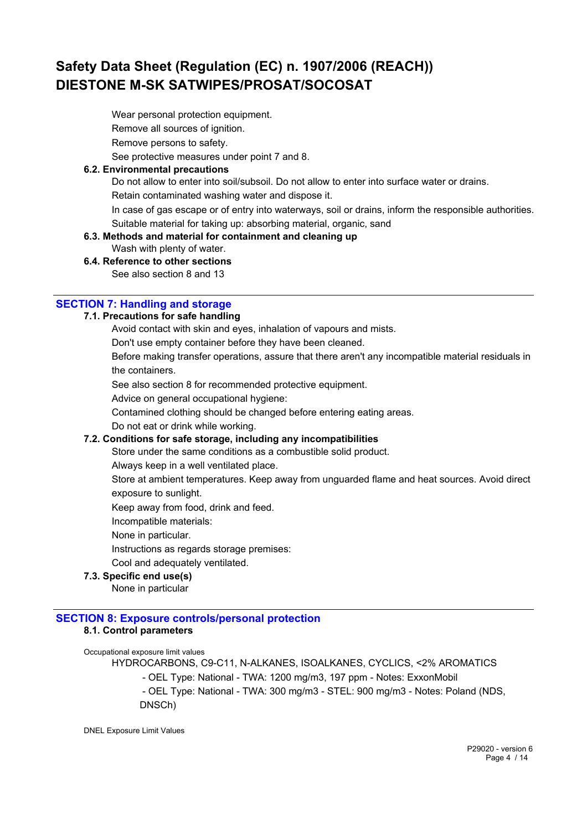Wear personal protection equipment. Remove all sources of ignition. Remove persons to safety.

See protective measures under point 7 and 8.

#### **6.2. Environmental precautions**

Do not allow to enter into soil/subsoil. Do not allow to enter into surface water or drains.

Retain contaminated washing water and dispose it.

In case of gas escape or of entry into waterways, soil or drains, inform the responsible authorities. Suitable material for taking up: absorbing material, organic, sand

### **6.3. Methods and material for containment and cleaning up**

Wash with plenty of water.

### **6.4. Reference to other sections**

See also section 8 and 13

### **SECTION 7: Handling and storage**

#### **7.1. Precautions for safe handling**

Avoid contact with skin and eyes, inhalation of vapours and mists.

Don't use empty container before they have been cleaned.

Before making transfer operations, assure that there aren't any incompatible material residuals in the containers.

See also section 8 for recommended protective equipment.

Advice on general occupational hygiene:

Contamined clothing should be changed before entering eating areas.

Do not eat or drink while working.

#### **7.2. Conditions for safe storage, including any incompatibilities**

Store under the same conditions as a combustible solid product.

Always keep in a well ventilated place.

Store at ambient temperatures. Keep away from unguarded flame and heat sources. Avoid direct exposure to sunlight.

Keep away from food, drink and feed.

Incompatible materials:

None in particular.

Instructions as regards storage premises:

Cool and adequately ventilated.

#### **7.3. Specific end use(s)**

None in particular

#### **SECTION 8: Exposure controls/personal protection 8.1. Control parameters**

Occupational exposure limit values HYDROCARBONS, C9-C11, N-ALKANES, ISOALKANES, CYCLICS, <2% AROMATICS - OEL Type: National - TWA: 1200 mg/m3, 197 ppm - Notes: ExxonMobil - OEL Type: National - TWA: 300 mg/m3 - STEL: 900 mg/m3 - Notes: Poland (NDS, DNSCh)

DNEL Exposure Limit Values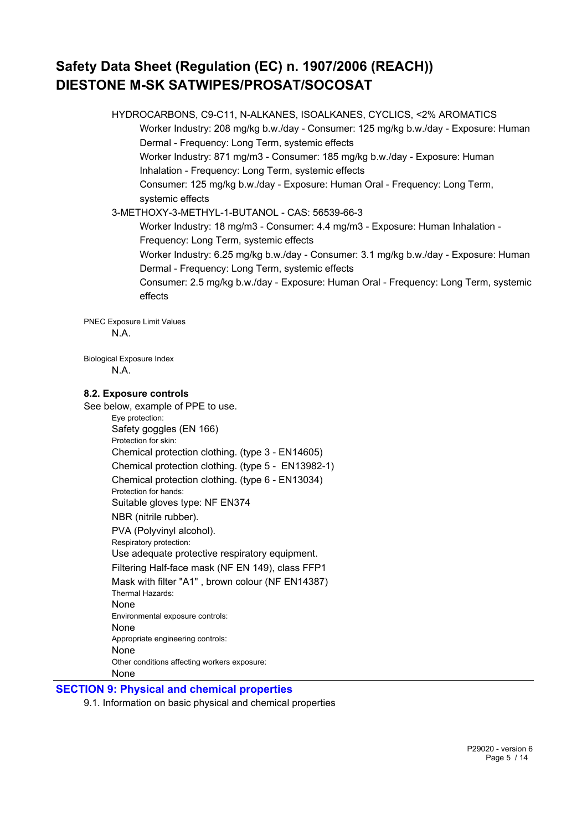HYDROCARBONS, C9-C11, N-ALKANES, ISOALKANES, CYCLICS, <2% AROMATICS Worker Industry: 208 mg/kg b.w./day - Consumer: 125 mg/kg b.w./day - Exposure: Human Dermal - Frequency: Long Term, systemic effects Worker Industry: 871 mg/m3 - Consumer: 185 mg/kg b.w./day - Exposure: Human Inhalation - Frequency: Long Term, systemic effects Consumer: 125 mg/kg b.w./day - Exposure: Human Oral - Frequency: Long Term, systemic effects 3-METHOXY-3-METHYL-1-BUTANOL - CAS: 56539-66-3 Worker Industry: 18 mg/m3 - Consumer: 4.4 mg/m3 - Exposure: Human Inhalation - Frequency: Long Term, systemic effects Worker Industry: 6.25 mg/kg b.w./day - Consumer: 3.1 mg/kg b.w./day - Exposure: Human Dermal - Frequency: Long Term, systemic effects Consumer: 2.5 mg/kg b.w./day - Exposure: Human Oral - Frequency: Long Term, systemic effects PNEC Exposure Limit Values N.A. Biological Exposure Index N.A.

#### **8.2. Exposure controls**

See below, example of PPE to use. Eye protection: Safety goggles (EN 166) Protection for skin: Chemical protection clothing. (type 3 - EN14605) Chemical protection clothing. (type 5 - EN13982-1) Chemical protection clothing. (type 6 - EN13034) Protection for hands: Suitable gloves type: NF EN374 NBR (nitrile rubber). PVA (Polyvinyl alcohol). Respiratory protection: Use adequate protective respiratory equipment. Filtering Half-face mask (NF EN 149), class FFP1 Mask with filter "A1" , brown colour (NF EN14387) Thermal Hazards: None Environmental exposure controls: None Appropriate engineering controls: None Other conditions affecting workers exposure: None

#### **SECTION 9: Physical and chemical properties**

9.1. Information on basic physical and chemical properties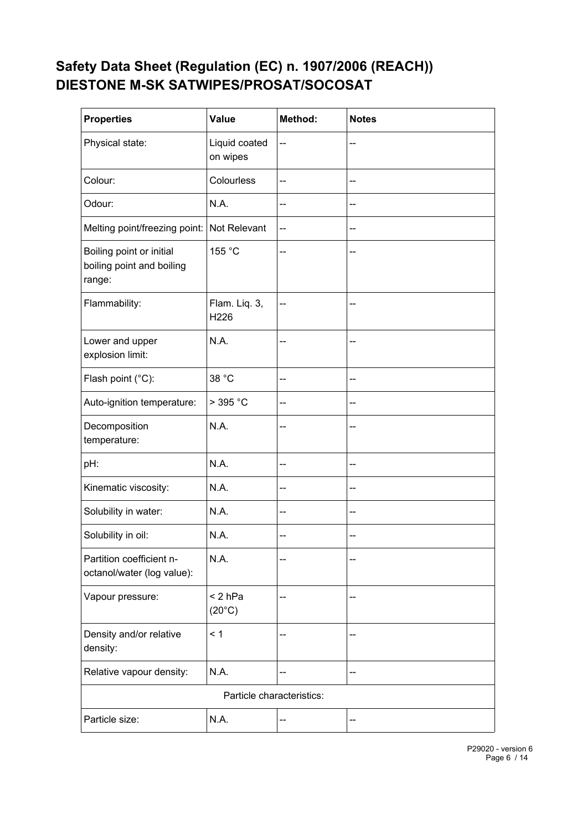| <b>Properties</b>                                               | Value                        | Method: | <b>Notes</b> |
|-----------------------------------------------------------------|------------------------------|---------|--------------|
| Physical state:                                                 | Liquid coated<br>on wipes    | --      | --           |
| Colour:                                                         | Colourless                   | --      | --           |
| Odour:                                                          | N.A.                         | --      | --           |
| Melting point/freezing point: Not Relevant                      |                              | --      | --           |
| Boiling point or initial<br>boiling point and boiling<br>range: | 155 °C                       | --      |              |
| Flammability:                                                   | Flam. Liq. 3,<br>H226        | --      | --           |
| Lower and upper<br>explosion limit:                             | N.A.                         | --      | --           |
| Flash point (°C):                                               | 38 °C                        | --      | --           |
| Auto-ignition temperature:                                      | $>$ 395 °C                   | --      | --           |
| Decomposition<br>temperature:                                   | N.A.                         | --      | --           |
| pH:                                                             | N.A.                         | --      | --           |
| Kinematic viscosity:                                            | N.A.                         | --      | --           |
| Solubility in water:                                            | N.A.                         | --      | --           |
| Solubility in oil:                                              | N.A.                         | --      | --           |
| Partition coefficient n-<br>octanol/water (log value):          | N.A.                         |         |              |
| Vapour pressure:                                                | $< 2$ hPa<br>$(20^{\circ}C)$ | --      |              |
| Density and/or relative<br>density:                             | < 1                          | --      | --           |
| Relative vapour density:                                        | N.A.                         | --      |              |
| Particle characteristics:                                       |                              |         |              |
| Particle size:                                                  | N.A.                         | --      |              |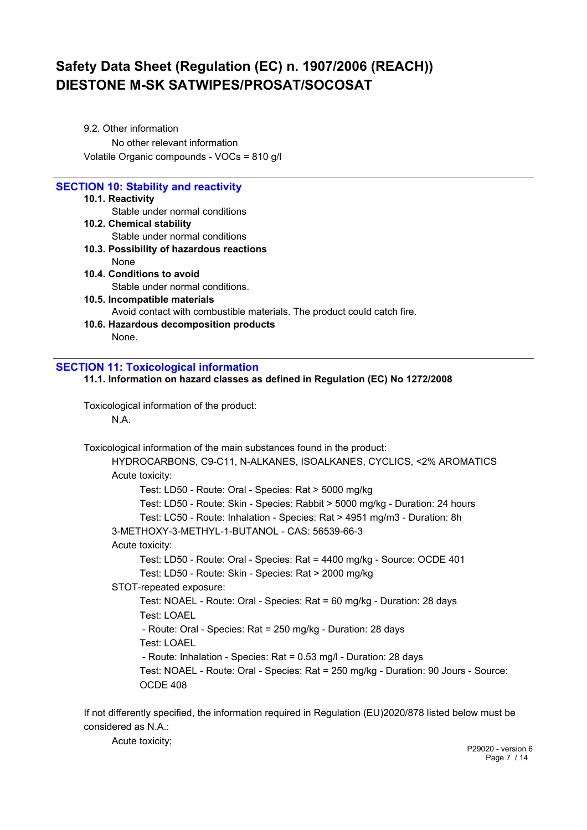9.2. Other information No other relevant information Volatile Organic compounds - VOCs = 810 g/l

### **SECTION 10: Stability and reactivity**

#### **10.1. Reactivity**

Stable under normal conditions

- **10.2. Chemical stability** Stable under normal conditions **10.3. Possibility of hazardous reactions**
- None **10.4. Conditions to avoid** Stable under normal conditions.
- **10.5. Incompatible materials** Avoid contact with combustible materials. The product could catch fire.
- **10.6. Hazardous decomposition products** None.

### **SECTION 11: Toxicological information**

**11.1. Information on hazard classes as defined in Regulation (EC) No 1272/2008**

Toxicological information of the product: N.A.

Toxicological information of the main substances found in the product:

HYDROCARBONS, C9-C11, N-ALKANES, ISOALKANES, CYCLICS, <2% AROMATICS Acute toxicity: Test: LD50 - Route: Oral - Species: Rat > 5000 mg/kg Test: LD50 - Route: Skin - Species: Rabbit > 5000 mg/kg - Duration: 24 hours Test: LC50 - Route: Inhalation - Species: Rat > 4951 mg/m3 - Duration: 8h 3-METHOXY-3-METHYL-1-BUTANOL - CAS: 56539-66-3 Acute toxicity: Test: LD50 - Route: Oral - Species: Rat = 4400 mg/kg - Source: OCDE 401 Test: LD50 - Route: Skin - Species: Rat > 2000 mg/kg STOT-repeated exposure: Test: NOAEL - Route: Oral - Species: Rat = 60 mg/kg - Duration: 28 days Test: LOAEL - Route: Oral - Species: Rat = 250 mg/kg - Duration: 28 days Test: LOAEL - Route: Inhalation - Species: Rat = 0.53 mg/l - Duration: 28 days Test: NOAEL - Route: Oral - Species: Rat = 250 mg/kg - Duration: 90 Jours - Source: OCDE 408

If not differently specified, the information required in Regulation (EU)2020/878 listed below must be considered as N.A.:

Acute toxicity;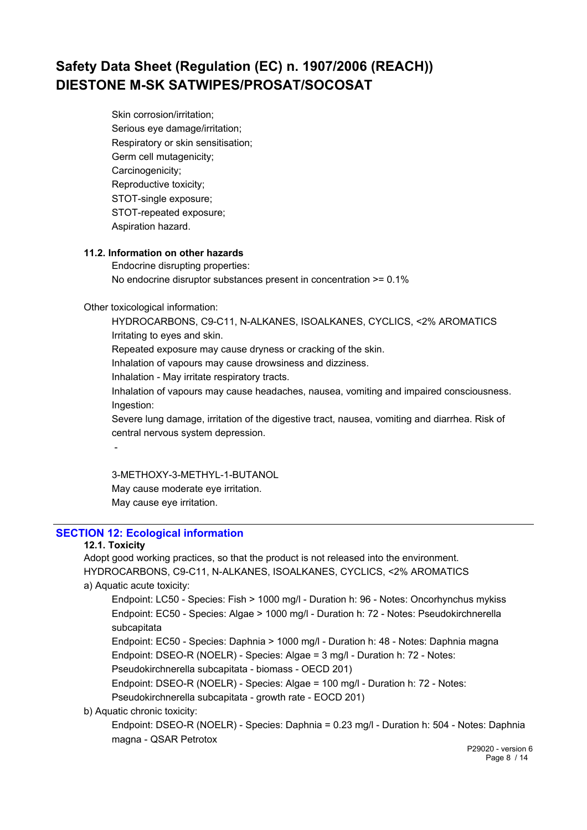Skin corrosion/irritation; Serious eye damage/irritation; Respiratory or skin sensitisation; Germ cell mutagenicity; Carcinogenicity; Reproductive toxicity; STOT-single exposure; STOT-repeated exposure; Aspiration hazard.

#### **11.2. Information on other hazards**

Endocrine disrupting properties: No endocrine disruptor substances present in concentration >= 0.1%

Other toxicological information:

HYDROCARBONS, C9-C11, N-ALKANES, ISOALKANES, CYCLICS, <2% AROMATICS Irritating to eyes and skin.

Repeated exposure may cause dryness or cracking of the skin.

Inhalation of vapours may cause drowsiness and dizziness.

Inhalation - May irritate respiratory tracts.

Inhalation of vapours may cause headaches, nausea, vomiting and impaired consciousness. Ingestion:

Severe lung damage, irritation of the digestive tract, nausea, vomiting and diarrhea. Risk of central nervous system depression.

-

3-METHOXY-3-METHYL-1-BUTANOL May cause moderate eye irritation. May cause eye irritation.

### **SECTION 12: Ecological information**

#### **12.1. Toxicity**

Adopt good working practices, so that the product is not released into the environment. HYDROCARBONS, C9-C11, N-ALKANES, ISOALKANES, CYCLICS, <2% AROMATICS a) Aquatic acute toxicity:

Endpoint: LC50 - Species: Fish > 1000 mg/l - Duration h: 96 - Notes: Oncorhynchus mykiss Endpoint: EC50 - Species: Algae > 1000 mg/l - Duration h: 72 - Notes: Pseudokirchnerella subcapitata

Endpoint: EC50 - Species: Daphnia > 1000 mg/l - Duration h: 48 - Notes: Daphnia magna Endpoint: DSEO-R (NOELR) - Species: Algae = 3 mg/l - Duration h: 72 - Notes: Pseudokirchnerella subcapitata - biomass - OECD 201)

Endpoint: DSEO-R (NOELR) - Species: Algae = 100 mg/l - Duration h: 72 - Notes:

Pseudokirchnerella subcapitata - growth rate - EOCD 201)

#### b) Aquatic chronic toxicity:

Endpoint: DSEO-R (NOELR) - Species: Daphnia = 0.23 mg/l - Duration h: 504 - Notes: Daphnia magna - QSAR Petrotox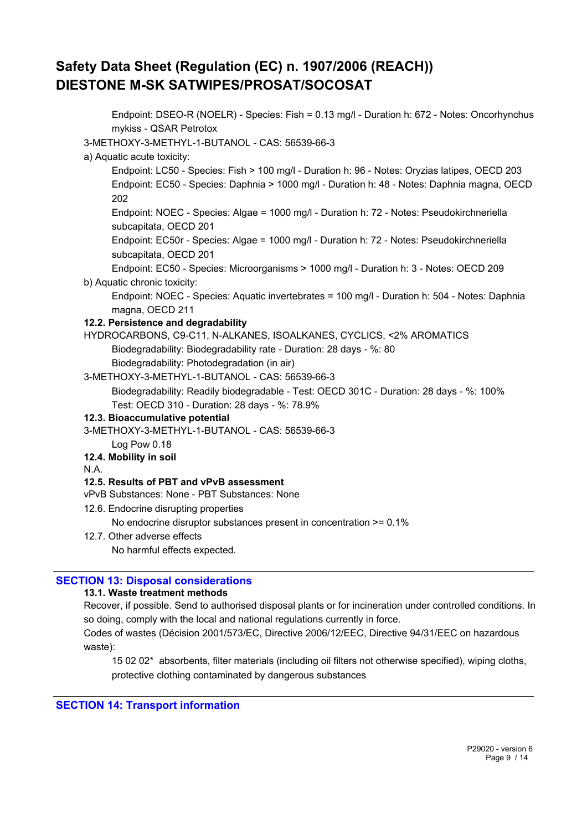Endpoint: DSEO-R (NOELR) - Species: Fish = 0.13 mg/l - Duration h: 672 - Notes: Oncorhynchus mykiss - QSAR Petrotox 3-METHOXY-3-METHYL-1-BUTANOL - CAS: 56539-66-3 a) Aquatic acute toxicity: Endpoint: LC50 - Species: Fish > 100 mg/l - Duration h: 96 - Notes: Oryzias latipes, OECD 203 Endpoint: EC50 - Species: Daphnia > 1000 mg/l - Duration h: 48 - Notes: Daphnia magna, OECD 202 Endpoint: NOEC - Species: Algae = 1000 mg/l - Duration h: 72 - Notes: Pseudokirchneriella subcapitata, OECD 201 Endpoint: EC50r - Species: Algae = 1000 mg/l - Duration h: 72 - Notes: Pseudokirchneriella subcapitata, OECD 201 Endpoint: EC50 - Species: Microorganisms > 1000 mg/l - Duration h: 3 - Notes: OECD 209 b) Aquatic chronic toxicity: Endpoint: NOEC - Species: Aquatic invertebrates = 100 mg/l - Duration h: 504 - Notes: Daphnia magna, OECD 211 **12.2. Persistence and degradability** HYDROCARBONS, C9-C11, N-ALKANES, ISOALKANES, CYCLICS, <2% AROMATICS Biodegradability: Biodegradability rate - Duration: 28 days - %: 80 Biodegradability: Photodegradation (in air) 3-METHOXY-3-METHYL-1-BUTANOL - CAS: 56539-66-3 Biodegradability: Readily biodegradable - Test: OECD 301C - Duration: 28 days - %: 100% Test: OECD 310 - Duration: 28 days - %: 78.9% **12.3. Bioaccumulative potential** 3-METHOXY-3-METHYL-1-BUTANOL - CAS: 56539-66-3 Log Pow 0.18 **12.4. Mobility in soil** N.A. **12.5. Results of PBT and vPvB assessment** vPvB Substances: None - PBT Substances: None 12.6. Endocrine disrupting properties No endocrine disruptor substances present in concentration >= 0.1% 12.7. Other adverse effects No harmful effects expected.

### **SECTION 13: Disposal considerations**

#### **13.1. Waste treatment methods**

Recover, if possible. Send to authorised disposal plants or for incineration under controlled conditions. In so doing, comply with the local and national regulations currently in force.

Codes of wastes (Décision 2001/573/EC, Directive 2006/12/EEC, Directive 94/31/EEC on hazardous waste):

15 02 02\* absorbents, filter materials (including oil filters not otherwise specified), wiping cloths, protective clothing contaminated by dangerous substances

#### **SECTION 14: Transport information**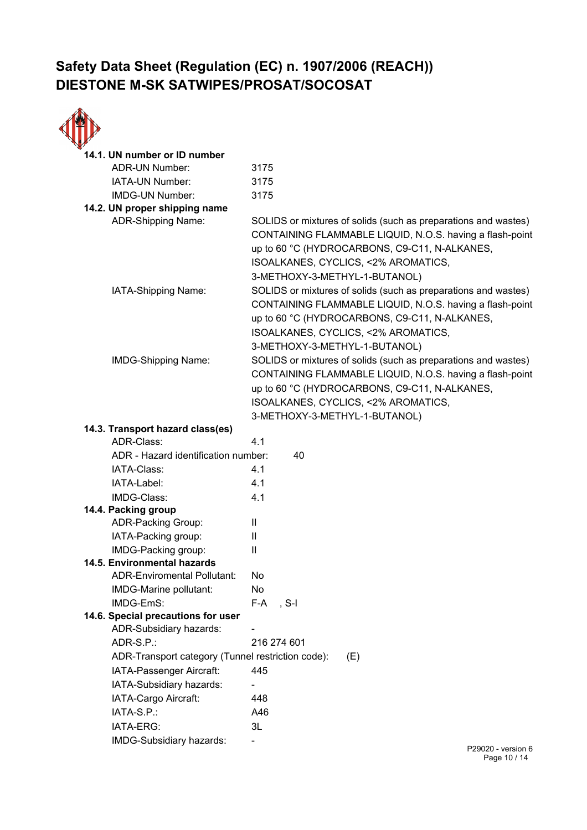

| ADR-UN Number:<br>3175<br>IATA-UN Number:<br>3175<br>IMDG-UN Number:<br>3175<br>14.2. UN proper shipping name<br><b>ADR-Shipping Name:</b><br>SOLIDS or mixtures of solids (such as preparations and wastes)<br>CONTAINING FLAMMABLE LIQUID, N.O.S. having a flash-point<br>up to 60 °C (HYDROCARBONS, C9-C11, N-ALKANES,<br>ISOALKANES, CYCLICS, <2% AROMATICS,<br>3-METHOXY-3-METHYL-1-BUTANOL)<br>SOLIDS or mixtures of solids (such as preparations and wastes)<br>IATA-Shipping Name:<br>CONTAINING FLAMMABLE LIQUID, N.O.S. having a flash-point<br>up to 60 °C (HYDROCARBONS, C9-C11, N-ALKANES,<br>ISOALKANES, CYCLICS, <2% AROMATICS,<br>3-METHOXY-3-METHYL-1-BUTANOL)<br>SOLIDS or mixtures of solids (such as preparations and wastes)<br>IMDG-Shipping Name:<br>CONTAINING FLAMMABLE LIQUID, N.O.S. having a flash-point<br>up to 60 °C (HYDROCARBONS, C9-C11, N-ALKANES,<br>ISOALKANES, CYCLICS, <2% AROMATICS,<br>3-METHOXY-3-METHYL-1-BUTANOL)<br>14.3. Transport hazard class(es)<br>ADR-Class:<br>4.1<br>ADR - Hazard identification number:<br>40<br>IATA-Class:<br>4.1<br>4.1<br>IATA-Label:<br>IMDG-Class:<br>4.1<br>14.4. Packing group<br><b>ADR-Packing Group:</b><br>$\mathbf{H}$<br>IATA-Packing group:<br>Ш<br>IMDG-Packing group:<br>Ш<br>14.5. Environmental hazards<br><b>ADR-Enviromental Pollutant:</b><br>No<br>No<br>IMDG-Marine pollutant:<br>IMDG-EmS:<br>$F-A$ , S-I<br>14.6. Special precautions for user<br>ADR-Subsidiary hazards:<br>ADR-S.P.:<br>216 274 601<br>ADR-Transport category (Tunnel restriction code):<br>(E)<br>IATA-Passenger Aircraft:<br>445<br>IATA-Subsidiary hazards:<br>IATA-Cargo Aircraft:<br>448<br>IATA-S.P.:<br>A46<br>3L<br>IATA-ERG:<br>IMDG-Subsidiary hazards: | 14.1. UN number or ID number |                      |  |
|-------------------------------------------------------------------------------------------------------------------------------------------------------------------------------------------------------------------------------------------------------------------------------------------------------------------------------------------------------------------------------------------------------------------------------------------------------------------------------------------------------------------------------------------------------------------------------------------------------------------------------------------------------------------------------------------------------------------------------------------------------------------------------------------------------------------------------------------------------------------------------------------------------------------------------------------------------------------------------------------------------------------------------------------------------------------------------------------------------------------------------------------------------------------------------------------------------------------------------------------------------------------------------------------------------------------------------------------------------------------------------------------------------------------------------------------------------------------------------------------------------------------------------------------------------------------------------------------------------------------------------------------------------------------------------------------------------------------------------------|------------------------------|----------------------|--|
|                                                                                                                                                                                                                                                                                                                                                                                                                                                                                                                                                                                                                                                                                                                                                                                                                                                                                                                                                                                                                                                                                                                                                                                                                                                                                                                                                                                                                                                                                                                                                                                                                                                                                                                                     |                              |                      |  |
|                                                                                                                                                                                                                                                                                                                                                                                                                                                                                                                                                                                                                                                                                                                                                                                                                                                                                                                                                                                                                                                                                                                                                                                                                                                                                                                                                                                                                                                                                                                                                                                                                                                                                                                                     |                              |                      |  |
|                                                                                                                                                                                                                                                                                                                                                                                                                                                                                                                                                                                                                                                                                                                                                                                                                                                                                                                                                                                                                                                                                                                                                                                                                                                                                                                                                                                                                                                                                                                                                                                                                                                                                                                                     |                              |                      |  |
|                                                                                                                                                                                                                                                                                                                                                                                                                                                                                                                                                                                                                                                                                                                                                                                                                                                                                                                                                                                                                                                                                                                                                                                                                                                                                                                                                                                                                                                                                                                                                                                                                                                                                                                                     |                              |                      |  |
|                                                                                                                                                                                                                                                                                                                                                                                                                                                                                                                                                                                                                                                                                                                                                                                                                                                                                                                                                                                                                                                                                                                                                                                                                                                                                                                                                                                                                                                                                                                                                                                                                                                                                                                                     |                              |                      |  |
|                                                                                                                                                                                                                                                                                                                                                                                                                                                                                                                                                                                                                                                                                                                                                                                                                                                                                                                                                                                                                                                                                                                                                                                                                                                                                                                                                                                                                                                                                                                                                                                                                                                                                                                                     |                              |                      |  |
|                                                                                                                                                                                                                                                                                                                                                                                                                                                                                                                                                                                                                                                                                                                                                                                                                                                                                                                                                                                                                                                                                                                                                                                                                                                                                                                                                                                                                                                                                                                                                                                                                                                                                                                                     |                              |                      |  |
|                                                                                                                                                                                                                                                                                                                                                                                                                                                                                                                                                                                                                                                                                                                                                                                                                                                                                                                                                                                                                                                                                                                                                                                                                                                                                                                                                                                                                                                                                                                                                                                                                                                                                                                                     |                              |                      |  |
|                                                                                                                                                                                                                                                                                                                                                                                                                                                                                                                                                                                                                                                                                                                                                                                                                                                                                                                                                                                                                                                                                                                                                                                                                                                                                                                                                                                                                                                                                                                                                                                                                                                                                                                                     |                              |                      |  |
|                                                                                                                                                                                                                                                                                                                                                                                                                                                                                                                                                                                                                                                                                                                                                                                                                                                                                                                                                                                                                                                                                                                                                                                                                                                                                                                                                                                                                                                                                                                                                                                                                                                                                                                                     |                              |                      |  |
|                                                                                                                                                                                                                                                                                                                                                                                                                                                                                                                                                                                                                                                                                                                                                                                                                                                                                                                                                                                                                                                                                                                                                                                                                                                                                                                                                                                                                                                                                                                                                                                                                                                                                                                                     |                              |                      |  |
|                                                                                                                                                                                                                                                                                                                                                                                                                                                                                                                                                                                                                                                                                                                                                                                                                                                                                                                                                                                                                                                                                                                                                                                                                                                                                                                                                                                                                                                                                                                                                                                                                                                                                                                                     |                              |                      |  |
|                                                                                                                                                                                                                                                                                                                                                                                                                                                                                                                                                                                                                                                                                                                                                                                                                                                                                                                                                                                                                                                                                                                                                                                                                                                                                                                                                                                                                                                                                                                                                                                                                                                                                                                                     |                              |                      |  |
|                                                                                                                                                                                                                                                                                                                                                                                                                                                                                                                                                                                                                                                                                                                                                                                                                                                                                                                                                                                                                                                                                                                                                                                                                                                                                                                                                                                                                                                                                                                                                                                                                                                                                                                                     |                              |                      |  |
|                                                                                                                                                                                                                                                                                                                                                                                                                                                                                                                                                                                                                                                                                                                                                                                                                                                                                                                                                                                                                                                                                                                                                                                                                                                                                                                                                                                                                                                                                                                                                                                                                                                                                                                                     |                              |                      |  |
|                                                                                                                                                                                                                                                                                                                                                                                                                                                                                                                                                                                                                                                                                                                                                                                                                                                                                                                                                                                                                                                                                                                                                                                                                                                                                                                                                                                                                                                                                                                                                                                                                                                                                                                                     |                              |                      |  |
|                                                                                                                                                                                                                                                                                                                                                                                                                                                                                                                                                                                                                                                                                                                                                                                                                                                                                                                                                                                                                                                                                                                                                                                                                                                                                                                                                                                                                                                                                                                                                                                                                                                                                                                                     |                              |                      |  |
|                                                                                                                                                                                                                                                                                                                                                                                                                                                                                                                                                                                                                                                                                                                                                                                                                                                                                                                                                                                                                                                                                                                                                                                                                                                                                                                                                                                                                                                                                                                                                                                                                                                                                                                                     |                              |                      |  |
|                                                                                                                                                                                                                                                                                                                                                                                                                                                                                                                                                                                                                                                                                                                                                                                                                                                                                                                                                                                                                                                                                                                                                                                                                                                                                                                                                                                                                                                                                                                                                                                                                                                                                                                                     |                              |                      |  |
|                                                                                                                                                                                                                                                                                                                                                                                                                                                                                                                                                                                                                                                                                                                                                                                                                                                                                                                                                                                                                                                                                                                                                                                                                                                                                                                                                                                                                                                                                                                                                                                                                                                                                                                                     |                              |                      |  |
|                                                                                                                                                                                                                                                                                                                                                                                                                                                                                                                                                                                                                                                                                                                                                                                                                                                                                                                                                                                                                                                                                                                                                                                                                                                                                                                                                                                                                                                                                                                                                                                                                                                                                                                                     |                              |                      |  |
|                                                                                                                                                                                                                                                                                                                                                                                                                                                                                                                                                                                                                                                                                                                                                                                                                                                                                                                                                                                                                                                                                                                                                                                                                                                                                                                                                                                                                                                                                                                                                                                                                                                                                                                                     |                              |                      |  |
|                                                                                                                                                                                                                                                                                                                                                                                                                                                                                                                                                                                                                                                                                                                                                                                                                                                                                                                                                                                                                                                                                                                                                                                                                                                                                                                                                                                                                                                                                                                                                                                                                                                                                                                                     |                              |                      |  |
|                                                                                                                                                                                                                                                                                                                                                                                                                                                                                                                                                                                                                                                                                                                                                                                                                                                                                                                                                                                                                                                                                                                                                                                                                                                                                                                                                                                                                                                                                                                                                                                                                                                                                                                                     |                              |                      |  |
|                                                                                                                                                                                                                                                                                                                                                                                                                                                                                                                                                                                                                                                                                                                                                                                                                                                                                                                                                                                                                                                                                                                                                                                                                                                                                                                                                                                                                                                                                                                                                                                                                                                                                                                                     |                              |                      |  |
|                                                                                                                                                                                                                                                                                                                                                                                                                                                                                                                                                                                                                                                                                                                                                                                                                                                                                                                                                                                                                                                                                                                                                                                                                                                                                                                                                                                                                                                                                                                                                                                                                                                                                                                                     |                              |                      |  |
|                                                                                                                                                                                                                                                                                                                                                                                                                                                                                                                                                                                                                                                                                                                                                                                                                                                                                                                                                                                                                                                                                                                                                                                                                                                                                                                                                                                                                                                                                                                                                                                                                                                                                                                                     |                              |                      |  |
|                                                                                                                                                                                                                                                                                                                                                                                                                                                                                                                                                                                                                                                                                                                                                                                                                                                                                                                                                                                                                                                                                                                                                                                                                                                                                                                                                                                                                                                                                                                                                                                                                                                                                                                                     |                              |                      |  |
|                                                                                                                                                                                                                                                                                                                                                                                                                                                                                                                                                                                                                                                                                                                                                                                                                                                                                                                                                                                                                                                                                                                                                                                                                                                                                                                                                                                                                                                                                                                                                                                                                                                                                                                                     |                              |                      |  |
|                                                                                                                                                                                                                                                                                                                                                                                                                                                                                                                                                                                                                                                                                                                                                                                                                                                                                                                                                                                                                                                                                                                                                                                                                                                                                                                                                                                                                                                                                                                                                                                                                                                                                                                                     |                              | $D20020 - Varcion$ 6 |  |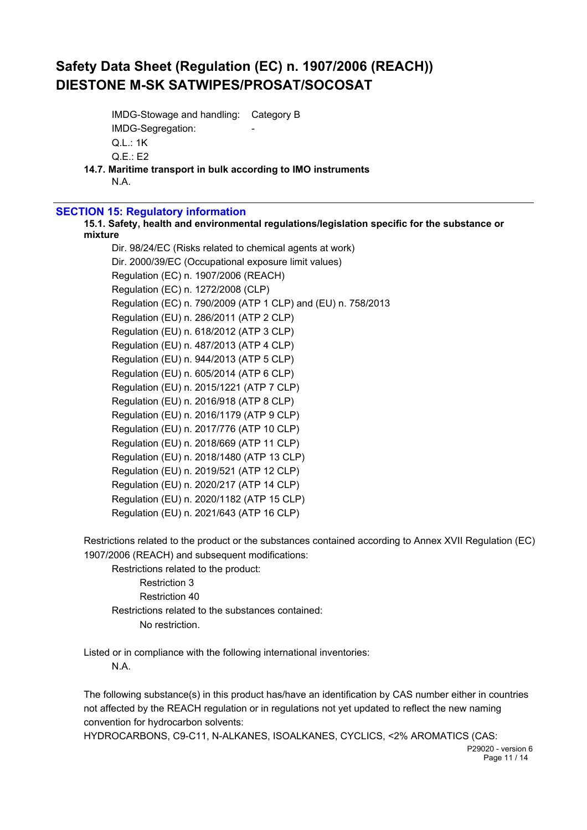IMDG-Stowage and handling: Category B IMDG-Segregation: Q.L.: 1K Q.E.: E2

**14.7. Maritime transport in bulk according to IMO instruments**

N.A.

#### **SECTION 15: Regulatory information**

**15.1. Safety, health and environmental regulations/legislation specific for the substance or mixture**

Dir. 98/24/EC (Risks related to chemical agents at work) Dir. 2000/39/EC (Occupational exposure limit values) Regulation (EC) n. 1907/2006 (REACH) Regulation (EC) n. 1272/2008 (CLP) Regulation (EC) n. 790/2009 (ATP 1 CLP) and (EU) n. 758/2013 Regulation (EU) n. 286/2011 (ATP 2 CLP) Regulation (EU) n. 618/2012 (ATP 3 CLP) Regulation (EU) n. 487/2013 (ATP 4 CLP) Regulation (EU) n. 944/2013 (ATP 5 CLP) Regulation (EU) n. 605/2014 (ATP 6 CLP) Regulation (EU) n. 2015/1221 (ATP 7 CLP) Regulation (EU) n. 2016/918 (ATP 8 CLP) Regulation (EU) n. 2016/1179 (ATP 9 CLP) Regulation (EU) n. 2017/776 (ATP 10 CLP) Regulation (EU) n. 2018/669 (ATP 11 CLP) Regulation (EU) n. 2018/1480 (ATP 13 CLP) Regulation (EU) n. 2019/521 (ATP 12 CLP) Regulation (EU) n. 2020/217 (ATP 14 CLP) Regulation (EU) n. 2020/1182 (ATP 15 CLP) Regulation (EU) n. 2021/643 (ATP 16 CLP)

Restrictions related to the product or the substances contained according to Annex XVII Regulation (EC) 1907/2006 (REACH) and subsequent modifications:

Restrictions related to the product: Restriction 3 Restriction 40 Restrictions related to the substances contained: No restriction.

Listed or in compliance with the following international inventories: N.A.

The following substance(s) in this product has/have an identification by CAS number either in countries not affected by the REACH regulation or in regulations not yet updated to reflect the new naming convention for hydrocarbon solvents:

HYDROCARBONS, C9-C11, N-ALKANES, ISOALKANES, CYCLICS, <2% AROMATICS (CAS: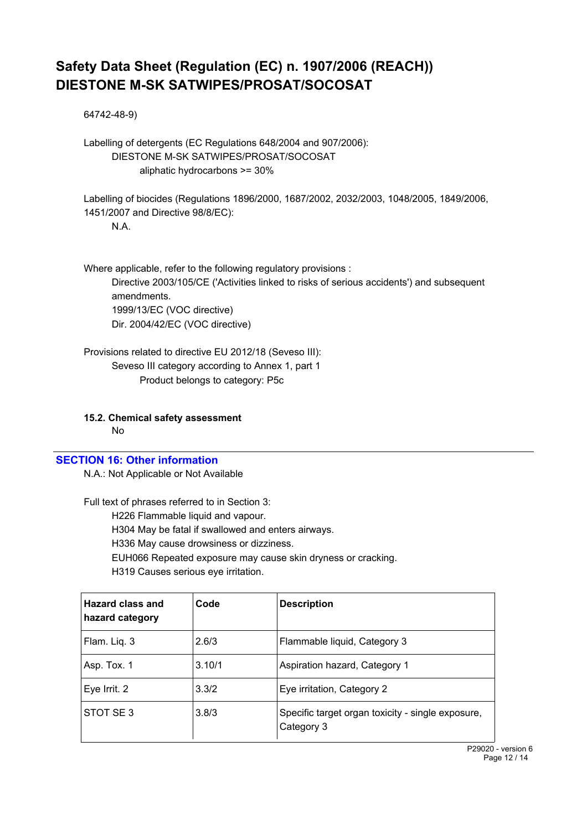64742-48-9)

Labelling of detergents (EC Regulations 648/2004 and 907/2006): DIESTONE M-SK SATWIPES/PROSAT/SOCOSAT aliphatic hydrocarbons >= 30%

Labelling of biocides (Regulations 1896/2000, 1687/2002, 2032/2003, 1048/2005, 1849/2006, 1451/2007 and Directive 98/8/EC):

N.A.

Where applicable, refer to the following regulatory provisions : Directive 2003/105/CE ('Activities linked to risks of serious accidents') and subsequent amendments. 1999/13/EC (VOC directive) Dir. 2004/42/EC (VOC directive)

Provisions related to directive EU 2012/18 (Seveso III): Seveso III category according to Annex 1, part 1 Product belongs to category: P5c

**15.2. Chemical safety assessment** No

#### **SECTION 16: Other information**

N.A.: Not Applicable or Not Available

Full text of phrases referred to in Section 3:

H226 Flammable liquid and vapour.

H304 May be fatal if swallowed and enters airways.

H336 May cause drowsiness or dizziness.

EUH066 Repeated exposure may cause skin dryness or cracking.

H319 Causes serious eye irritation.

| Hazard class and<br>hazard category | Code   | <b>Description</b>                                              |
|-------------------------------------|--------|-----------------------------------------------------------------|
| Flam. Liq. 3                        | 2.6/3  | Flammable liquid, Category 3                                    |
| Asp. Tox. 1                         | 3.10/1 | Aspiration hazard, Category 1                                   |
| Eye Irrit. 2                        | 3.3/2  | Eye irritation, Category 2                                      |
| STOT SE3                            | 3.8/3  | Specific target organ toxicity - single exposure,<br>Category 3 |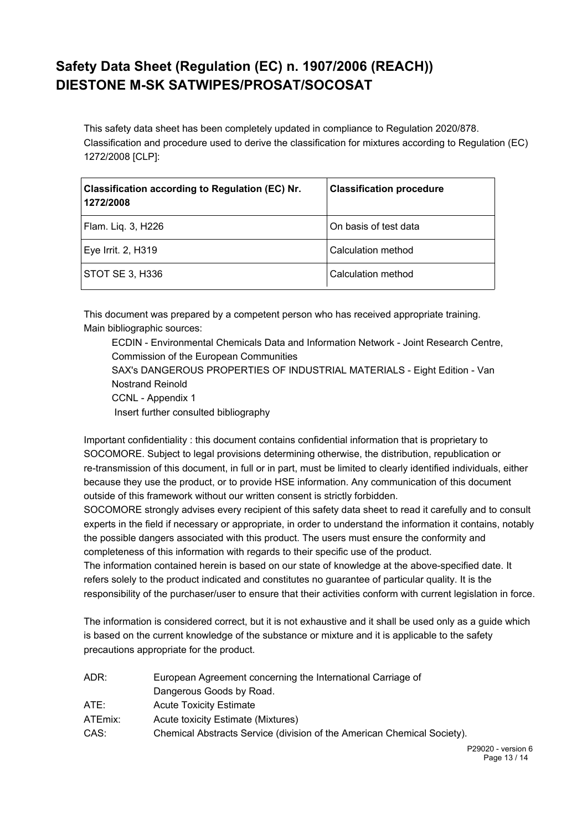This safety data sheet has been completely updated in compliance to Regulation 2020/878. Classification and procedure used to derive the classification for mixtures according to Regulation (EC) 1272/2008 [CLP]:

| Classification according to Regulation (EC) Nr.<br>1272/2008 | <b>Classification procedure</b> |
|--------------------------------------------------------------|---------------------------------|
| Flam. Liq. 3, H226                                           | On basis of test data           |
| Eye Irrit. 2, H319                                           | Calculation method              |
| STOT SE 3, H336                                              | Calculation method              |

This document was prepared by a competent person who has received appropriate training. Main bibliographic sources:

ECDIN - Environmental Chemicals Data and Information Network - Joint Research Centre, Commission of the European Communities SAX's DANGEROUS PROPERTIES OF INDUSTRIAL MATERIALS - Eight Edition - Van Nostrand Reinold CCNL - Appendix 1 Insert further consulted bibliography

Important confidentiality : this document contains confidential information that is proprietary to SOCOMORE. Subject to legal provisions determining otherwise, the distribution, republication or re-transmission of this document, in full or in part, must be limited to clearly identified individuals, either because they use the product, or to provide HSE information. Any communication of this document outside of this framework without our written consent is strictly forbidden.

SOCOMORE strongly advises every recipient of this safety data sheet to read it carefully and to consult experts in the field if necessary or appropriate, in order to understand the information it contains, notably the possible dangers associated with this product. The users must ensure the conformity and completeness of this information with regards to their specific use of the product.

The information contained herein is based on our state of knowledge at the above-specified date. It refers solely to the product indicated and constitutes no guarantee of particular quality. It is the responsibility of the purchaser/user to ensure that their activities conform with current legislation in force.

The information is considered correct, but it is not exhaustive and it shall be used only as a guide which is based on the current knowledge of the substance or mixture and it is applicable to the safety precautions appropriate for the product.

| European Agreement concerning the International Carriage of             |
|-------------------------------------------------------------------------|
| Dangerous Goods by Road.                                                |
| <b>Acute Toxicity Estimate</b>                                          |
| Acute toxicity Estimate (Mixtures)                                      |
| Chemical Abstracts Service (division of the American Chemical Society). |
|                                                                         |